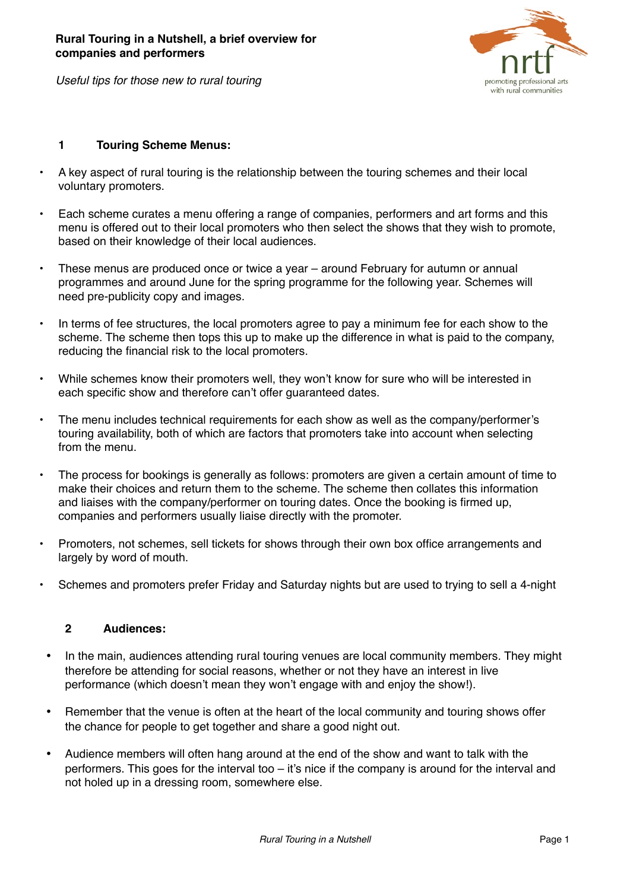

*Useful tips for those new to rural touring*

## **1 Touring Scheme Menus:**

- A key aspect of rural touring is the relationship between the touring schemes and their local voluntary promoters.
- Each scheme curates a menu offering a range of companies, performers and art forms and this menu is offered out to their local promoters who then select the shows that they wish to promote, based on their knowledge of their local audiences.
- These menus are produced once or twice a year around February for autumn or annual programmes and around June for the spring programme for the following year. Schemes will need pre-publicity copy and images.
- In terms of fee structures, the local promoters agree to pay a minimum fee for each show to the scheme. The scheme then tops this up to make up the difference in what is paid to the company, reducing the financial risk to the local promoters.
- While schemes know their promoters well, they won't know for sure who will be interested in each specific show and therefore can't offer guaranteed dates.
- The menu includes technical requirements for each show as well as the company/performer's touring availability, both of which are factors that promoters take into account when selecting from the menu.
- The process for bookings is generally as follows: promoters are given a certain amount of time to make their choices and return them to the scheme. The scheme then collates this information and liaises with the company/performer on touring dates. Once the booking is firmed up, companies and performers usually liaise directly with the promoter.
- Promoters, not schemes, sell tickets for shows through their own box office arrangements and largely by word of mouth.
- Schemes and promoters prefer Friday and Saturday nights but are used to trying to sell a 4-night

# **2 Audiences:**

- In the main, audiences attending rural touring venues are local community members. They might therefore be attending for social reasons, whether or not they have an interest in live performance (which doesn't mean they won't engage with and enjoy the show!).
- Remember that the venue is often at the heart of the local community and touring shows offer the chance for people to get together and share a good night out.
- Audience members will often hang around at the end of the show and want to talk with the performers. This goes for the interval too – it's nice if the company is around for the interval and not holed up in a dressing room, somewhere else.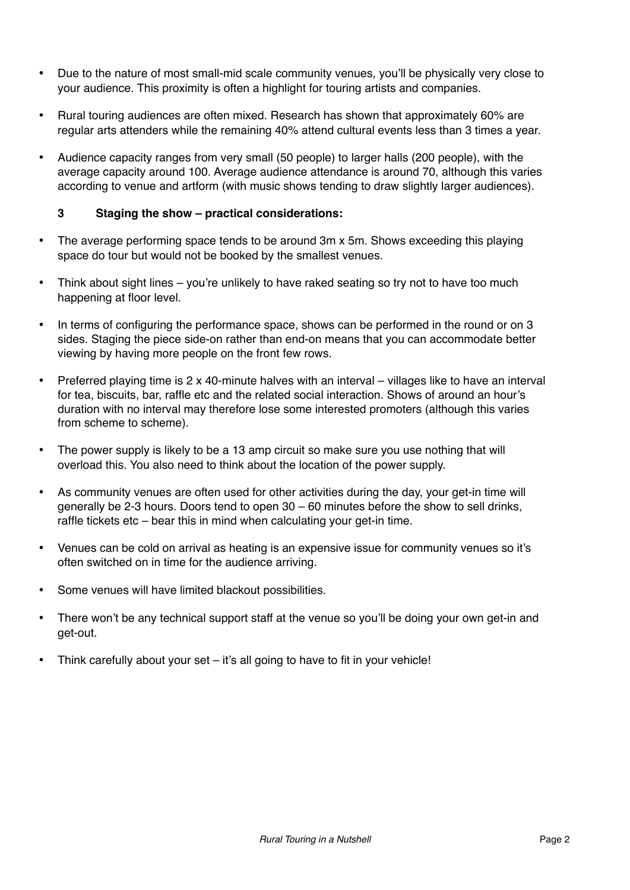- Due to the nature of most small-mid scale community venues, you'll be physically very close to your audience. This proximity is often a highlight for touring artists and companies.
- Rural touring audiences are often mixed. Research has shown that approximately 60% are regular arts attenders while the remaining 40% attend cultural events less than 3 times a year.
- Audience capacity ranges from very small (50 people) to larger halls (200 people), with the average capacity around 100. Average audience attendance is around 70, although this varies according to venue and artform (with music shows tending to draw slightly larger audiences).

# **3 Staging the show – practical considerations:**

- The average performing space tends to be around 3m x 5m. Shows exceeding this playing space do tour but would not be booked by the smallest venues.
- Think about sight lines you're unlikely to have raked seating so try not to have too much happening at floor level.
- In terms of configuring the performance space, shows can be performed in the round or on 3 sides. Staging the piece side-on rather than end-on means that you can accommodate better viewing by having more people on the front few rows.
- Preferred playing time is 2 x 40-minute halves with an interval villages like to have an interval for tea, biscuits, bar, raffle etc and the related social interaction. Shows of around an hour's duration with no interval may therefore lose some interested promoters (although this varies from scheme to scheme).
- The power supply is likely to be a 13 amp circuit so make sure you use nothing that will overload this. You also need to think about the location of the power supply.
- As community venues are often used for other activities during the day, your get-in time will generally be 2-3 hours. Doors tend to open 30 – 60 minutes before the show to sell drinks, raffle tickets etc – bear this in mind when calculating your get-in time.
- Venues can be cold on arrival as heating is an expensive issue for community venues so it's often switched on in time for the audience arriving.
- Some venues will have limited blackout possibilities.
- There won't be any technical support staff at the venue so you'll be doing your own get-in and get-out.
- Think carefully about your set it's all going to have to fit in your vehicle!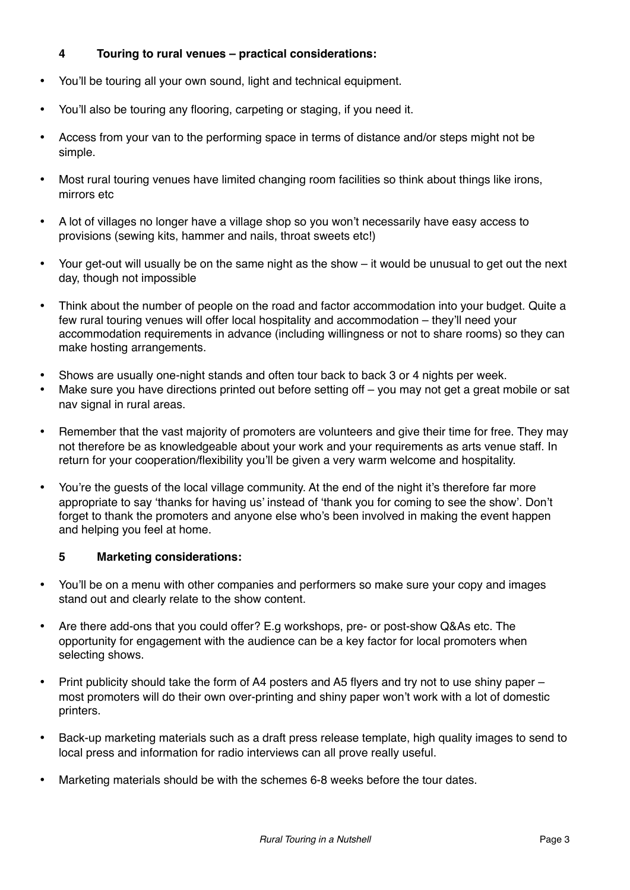# **4 Touring to rural venues – practical considerations:**

- You'll be touring all your own sound, light and technical equipment.
- You'll also be touring any flooring, carpeting or staging, if you need it.
- Access from your van to the performing space in terms of distance and/or steps might not be simple.
- Most rural touring venues have limited changing room facilities so think about things like irons, mirrors etc
- A lot of villages no longer have a village shop so you won't necessarily have easy access to provisions (sewing kits, hammer and nails, throat sweets etc!)
- Your get-out will usually be on the same night as the show it would be unusual to get out the next day, though not impossible
- Think about the number of people on the road and factor accommodation into your budget. Quite a few rural touring venues will offer local hospitality and accommodation – they'll need your accommodation requirements in advance (including willingness or not to share rooms) so they can make hosting arrangements.
- Shows are usually one-night stands and often tour back to back 3 or 4 nights per week.
- Make sure you have directions printed out before setting off you may not get a great mobile or sat nav signal in rural areas.
- Remember that the vast majority of promoters are volunteers and give their time for free. They may not therefore be as knowledgeable about your work and your requirements as arts venue staff. In return for your cooperation/flexibility you'll be given a very warm welcome and hospitality.
- You're the guests of the local village community. At the end of the night it's therefore far more appropriate to say 'thanks for having us' instead of 'thank you for coming to see the show'. Don't forget to thank the promoters and anyone else who's been involved in making the event happen and helping you feel at home.

#### **5 Marketing considerations:**

- You'll be on a menu with other companies and performers so make sure your copy and images stand out and clearly relate to the show content.
- Are there add-ons that you could offer? E.g workshops, pre- or post-show Q&As etc. The opportunity for engagement with the audience can be a key factor for local promoters when selecting shows.
- Print publicity should take the form of A4 posters and A5 flyers and try not to use shiny paper most promoters will do their own over-printing and shiny paper won't work with a lot of domestic printers.
- Back-up marketing materials such as a draft press release template, high quality images to send to local press and information for radio interviews can all prove really useful.
- Marketing materials should be with the schemes 6-8 weeks before the tour dates.